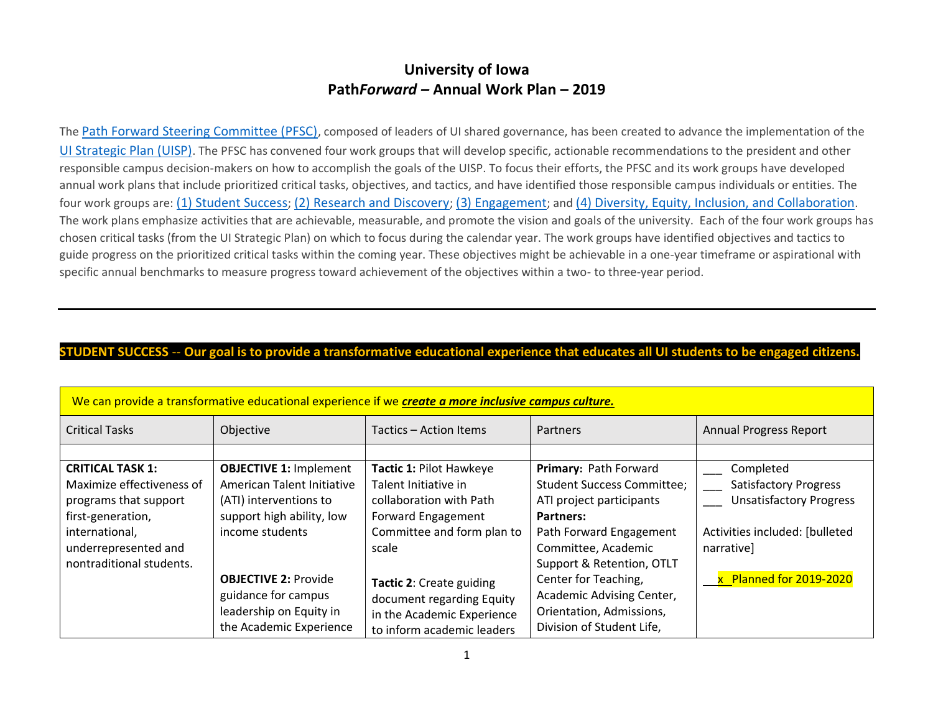# **University of Iowa Path***Forward –* **Annual Work Plan – 2019**

The [Path Forward Steering Committee \(PFSC\)](https://pathforward.dev.drupal.uiowa.edu/steering-committee), composed of leaders of UI shared governance, has been created to advance the implementation of the [UI Strategic Plan \(UISP\)](https://provost.uiowa.edu/strategic-plan-2016-2021). The PFSC has convened four work groups that will develop specific, actionable recommendations to the president and other responsible campus decision-makers on how to accomplish the goals of the UISP. To focus their efforts, the PFSC and its work groups have developed annual work plans that include prioritized critical tasks, objectives, and tactics, and have identified those responsible campus individuals or entities. The four work groups are: [\(1\) Student Success](https://pathforward.dev.drupal.uiowa.edu/student-success); [\(2\) Research and Discovery](https://pathforward.dev.drupal.uiowa.edu/research-and-discovery); [\(3\) Engagement](https://pathforward.dev.drupal.uiowa.edu/engagement); and [\(4\) Diversity, Equity, Inclusion, and Collaboration](https://pathforward.dev.drupal.uiowa.edu/diversity-equity-inclusion-and-collaboration). The work plans emphasize activities that are achievable, measurable, and promote the vision and goals of the university. Each of the four work groups has chosen critical tasks (from the UI Strategic Plan) on which to focus during the calendar year. The work groups have identified objectives and tactics to guide progress on the prioritized critical tasks within the coming year. These objectives might be achievable in a one-year timeframe or aspirational with specific annual benchmarks to measure progress toward achievement of the objectives within a two- to three-year period.

#### **STUDENT SUCCESS** -- **Our goal is to provide a transformative educational experience that educates all UI students to be engaged citizens.**

| We can provide a transformative educational experience if we create a more inclusive campus culture. |                               |                            |                                   |                                |
|------------------------------------------------------------------------------------------------------|-------------------------------|----------------------------|-----------------------------------|--------------------------------|
| <b>Critical Tasks</b>                                                                                | Objective                     | Tactics - Action Items     | <b>Partners</b>                   | <b>Annual Progress Report</b>  |
|                                                                                                      |                               |                            |                                   |                                |
| <b>CRITICAL TASK 1:</b>                                                                              | <b>OBJECTIVE 1: Implement</b> | Tactic 1: Pilot Hawkeye    | Primary: Path Forward             | Completed                      |
| Maximize effectiveness of                                                                            | American Talent Initiative    | Talent Initiative in       | <b>Student Success Committee;</b> | <b>Satisfactory Progress</b>   |
| programs that support                                                                                | (ATI) interventions to        | collaboration with Path    | ATI project participants          | <b>Unsatisfactory Progress</b> |
| first-generation,                                                                                    | support high ability, low     | <b>Forward Engagement</b>  | Partners:                         |                                |
| international,                                                                                       | income students               | Committee and form plan to | Path Forward Engagement           | Activities included: [bulleted |
| underrepresented and                                                                                 |                               | scale                      | Committee, Academic               | narrative]                     |
| nontraditional students.                                                                             |                               |                            | Support & Retention, OTLT         |                                |
|                                                                                                      | <b>OBJECTIVE 2: Provide</b>   | Tactic 2: Create guiding   | Center for Teaching,              | x Planned for 2019-2020        |
|                                                                                                      | guidance for campus           | document regarding Equity  | Academic Advising Center,         |                                |
|                                                                                                      | leadership on Equity in       | in the Academic Experience | Orientation, Admissions,          |                                |
|                                                                                                      | the Academic Experience       | to inform academic leaders | Division of Student Life,         |                                |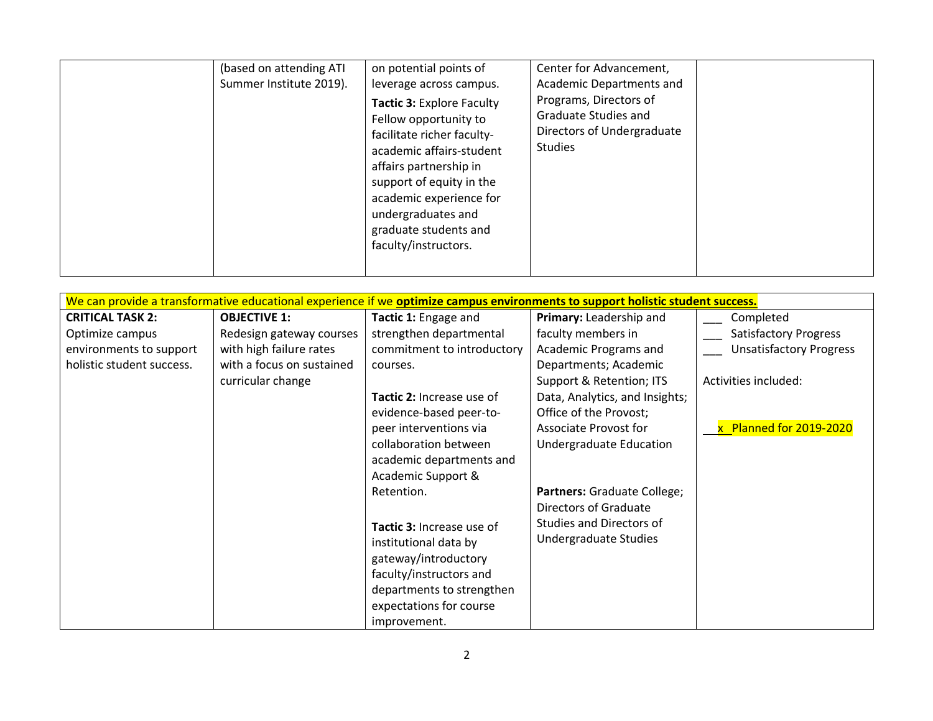| (based on attending ATI<br>Summer Institute 2019). | on potential points of<br>leverage across campus.<br>Tactic 3: Explore Faculty<br>Fellow opportunity to<br>facilitate richer faculty-<br>academic affairs-student<br>affairs partnership in<br>support of equity in the<br>academic experience for<br>undergraduates and<br>graduate students and<br>faculty/instructors. | Center for Advancement,<br>Academic Departments and<br>Programs, Directors of<br>Graduate Studies and<br>Directors of Undergraduate<br><b>Studies</b> |  |
|----------------------------------------------------|---------------------------------------------------------------------------------------------------------------------------------------------------------------------------------------------------------------------------------------------------------------------------------------------------------------------------|-------------------------------------------------------------------------------------------------------------------------------------------------------|--|
|----------------------------------------------------|---------------------------------------------------------------------------------------------------------------------------------------------------------------------------------------------------------------------------------------------------------------------------------------------------------------------------|-------------------------------------------------------------------------------------------------------------------------------------------------------|--|

|                           | We can provide a transformative educational experience if we optimize campus environments to support holistic student success. |                            |                                |                                |  |
|---------------------------|--------------------------------------------------------------------------------------------------------------------------------|----------------------------|--------------------------------|--------------------------------|--|
| <b>CRITICAL TASK 2:</b>   | <b>OBJECTIVE 1:</b>                                                                                                            | Tactic 1: Engage and       | Primary: Leadership and        | Completed                      |  |
| Optimize campus           | Redesign gateway courses                                                                                                       | strengthen departmental    | faculty members in             | <b>Satisfactory Progress</b>   |  |
| environments to support   | with high failure rates                                                                                                        | commitment to introductory | Academic Programs and          | <b>Unsatisfactory Progress</b> |  |
| holistic student success. | with a focus on sustained                                                                                                      | courses.                   | Departments; Academic          |                                |  |
|                           | curricular change                                                                                                              |                            | Support & Retention; ITS       | Activities included:           |  |
|                           |                                                                                                                                | Tactic 2: Increase use of  | Data, Analytics, and Insights; |                                |  |
|                           |                                                                                                                                | evidence-based peer-to-    | Office of the Provost;         |                                |  |
|                           |                                                                                                                                | peer interventions via     | Associate Provost for          | x Planned for 2019-2020        |  |
|                           |                                                                                                                                | collaboration between      | Undergraduate Education        |                                |  |
|                           |                                                                                                                                | academic departments and   |                                |                                |  |
|                           |                                                                                                                                | Academic Support &         |                                |                                |  |
|                           |                                                                                                                                | Retention.                 | Partners: Graduate College;    |                                |  |
|                           |                                                                                                                                |                            | <b>Directors of Graduate</b>   |                                |  |
|                           |                                                                                                                                | Tactic 3: Increase use of  | Studies and Directors of       |                                |  |
|                           |                                                                                                                                | institutional data by      | Undergraduate Studies          |                                |  |
|                           |                                                                                                                                | gateway/introductory       |                                |                                |  |
|                           |                                                                                                                                | faculty/instructors and    |                                |                                |  |
|                           |                                                                                                                                | departments to strengthen  |                                |                                |  |
|                           |                                                                                                                                | expectations for course    |                                |                                |  |
|                           |                                                                                                                                | improvement.               |                                |                                |  |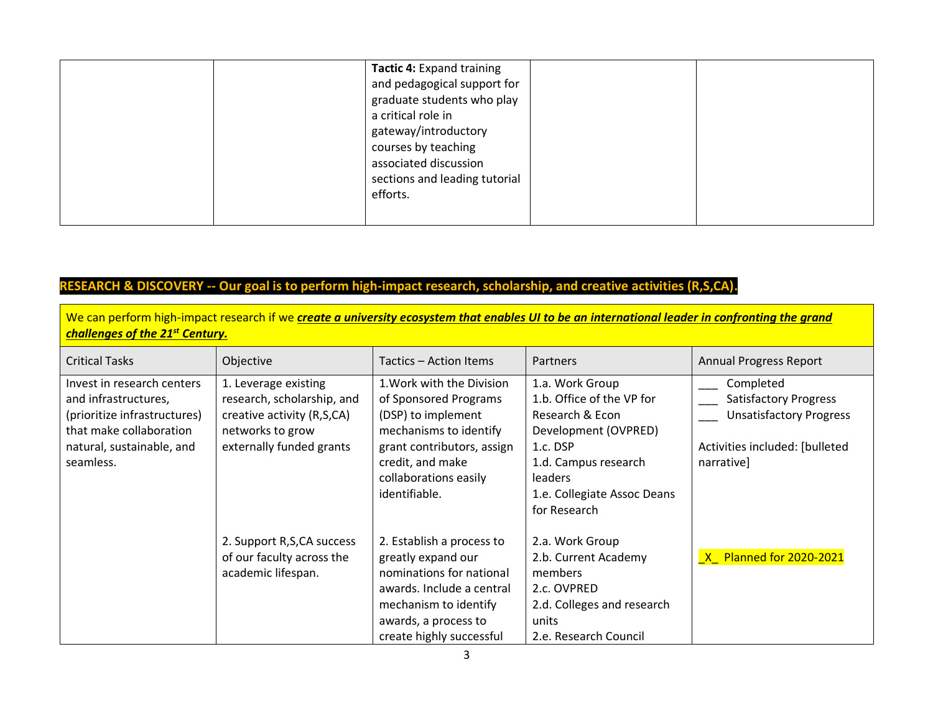|  | Tactic 4: Expand training     |  |
|--|-------------------------------|--|
|  | and pedagogical support for   |  |
|  | graduate students who play    |  |
|  | a critical role in            |  |
|  | gateway/introductory          |  |
|  | courses by teaching           |  |
|  | associated discussion         |  |
|  | sections and leading tutorial |  |
|  | efforts.                      |  |
|  |                               |  |
|  |                               |  |

### **RESEARCH & DISCOVERY -- Our goal is to perform high-impact research, scholarship, and creative activities (R,S,CA).**

We can perform high-impact research if we *create a university ecosystem that enables UI to be an international leader in confronting the grand challenges of the 21st Century.*

| <b>Critical Tasks</b>                                                                                                                                   | Objective                                                                                                                        | Tactics – Action Items                                                                                                                                                                         | <b>Partners</b>                                                                                                                                                                              | <b>Annual Progress Report</b>                                                                                               |
|---------------------------------------------------------------------------------------------------------------------------------------------------------|----------------------------------------------------------------------------------------------------------------------------------|------------------------------------------------------------------------------------------------------------------------------------------------------------------------------------------------|----------------------------------------------------------------------------------------------------------------------------------------------------------------------------------------------|-----------------------------------------------------------------------------------------------------------------------------|
| Invest in research centers<br>and infrastructures,<br>(prioritize infrastructures)<br>that make collaboration<br>natural, sustainable, and<br>seamless. | 1. Leverage existing<br>research, scholarship, and<br>creative activity (R,S,CA)<br>networks to grow<br>externally funded grants | 1. Work with the Division<br>of Sponsored Programs<br>(DSP) to implement<br>mechanisms to identify<br>grant contributors, assign<br>credit, and make<br>collaborations easily<br>identifiable. | 1.a. Work Group<br>1.b. Office of the VP for<br>Research & Econ<br>Development (OVPRED)<br>1.c. DSP<br>1.d. Campus research<br><b>leaders</b><br>1.e. Collegiate Assoc Deans<br>for Research | Completed<br><b>Satisfactory Progress</b><br><b>Unsatisfactory Progress</b><br>Activities included: [bulleted<br>narrative] |
|                                                                                                                                                         | 2. Support R, S, CA success<br>of our faculty across the<br>academic lifespan.                                                   | 2. Establish a process to<br>greatly expand our<br>nominations for national<br>awards. Include a central<br>mechanism to identify<br>awards, a process to<br>create highly successful          | 2.a. Work Group<br>2.b. Current Academy<br>members<br>2.c. OVPRED<br>2.d. Colleges and research<br>units<br>2.e. Research Council                                                            | X Planned for 2020-2021                                                                                                     |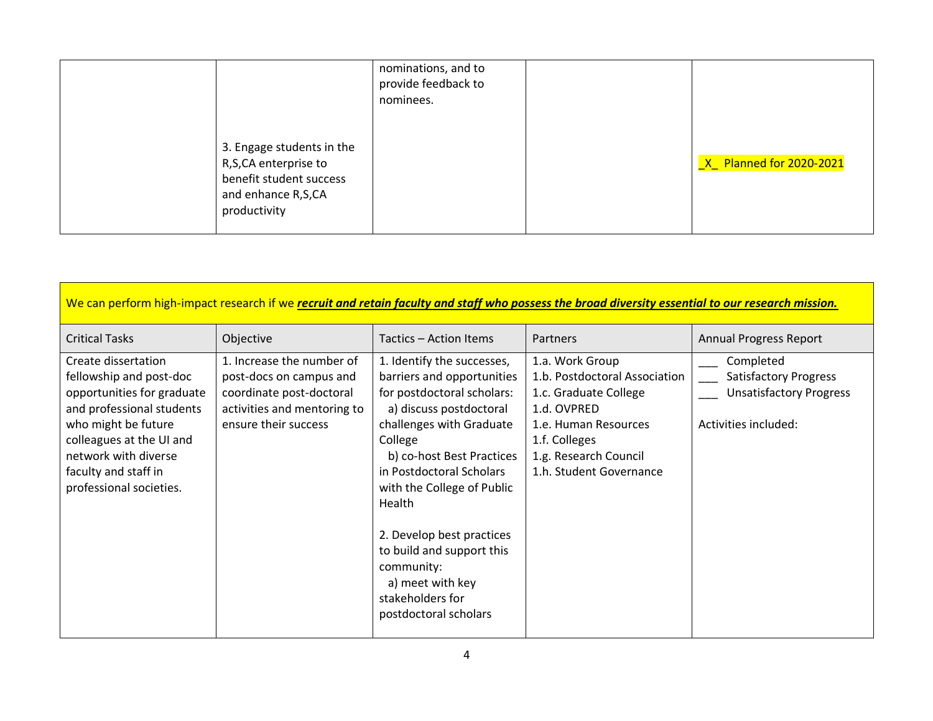|                                                                                                                    | nominations, and to<br>provide feedback to<br>nominees. |                                |
|--------------------------------------------------------------------------------------------------------------------|---------------------------------------------------------|--------------------------------|
| 3. Engage students in the<br>R,S,CA enterprise to<br>benefit student success<br>and enhance R,S,CA<br>productivity |                                                         | <u>X Planned for 2020-2021</u> |

| We can perform high-impact research if we recruit and retain faculty and staff who possess the broad diversity essential to our research mission.                                                                                       |                                                                                                                                         |                                                                                                                                                                                                                                                                                                                                                                                                    |                                                                                                                                                                                       |                                                                                                     |
|-----------------------------------------------------------------------------------------------------------------------------------------------------------------------------------------------------------------------------------------|-----------------------------------------------------------------------------------------------------------------------------------------|----------------------------------------------------------------------------------------------------------------------------------------------------------------------------------------------------------------------------------------------------------------------------------------------------------------------------------------------------------------------------------------------------|---------------------------------------------------------------------------------------------------------------------------------------------------------------------------------------|-----------------------------------------------------------------------------------------------------|
| <b>Critical Tasks</b>                                                                                                                                                                                                                   | Objective                                                                                                                               | Tactics - Action Items                                                                                                                                                                                                                                                                                                                                                                             | Partners                                                                                                                                                                              | <b>Annual Progress Report</b>                                                                       |
| Create dissertation<br>fellowship and post-doc<br>opportunities for graduate<br>and professional students<br>who might be future<br>colleagues at the UI and<br>network with diverse<br>faculty and staff in<br>professional societies. | 1. Increase the number of<br>post-docs on campus and<br>coordinate post-doctoral<br>activities and mentoring to<br>ensure their success | 1. Identify the successes,<br>barriers and opportunities<br>for postdoctoral scholars:<br>a) discuss postdoctoral<br>challenges with Graduate<br>College<br>b) co-host Best Practices<br>in Postdoctoral Scholars<br>with the College of Public<br>Health<br>2. Develop best practices<br>to build and support this<br>community:<br>a) meet with key<br>stakeholders for<br>postdoctoral scholars | 1.a. Work Group<br>1.b. Postdoctoral Association<br>1.c. Graduate College<br>1.d. OVPRED<br>1.e. Human Resources<br>1.f. Colleges<br>1.g. Research Council<br>1.h. Student Governance | Completed<br><b>Satisfactory Progress</b><br><b>Unsatisfactory Progress</b><br>Activities included: |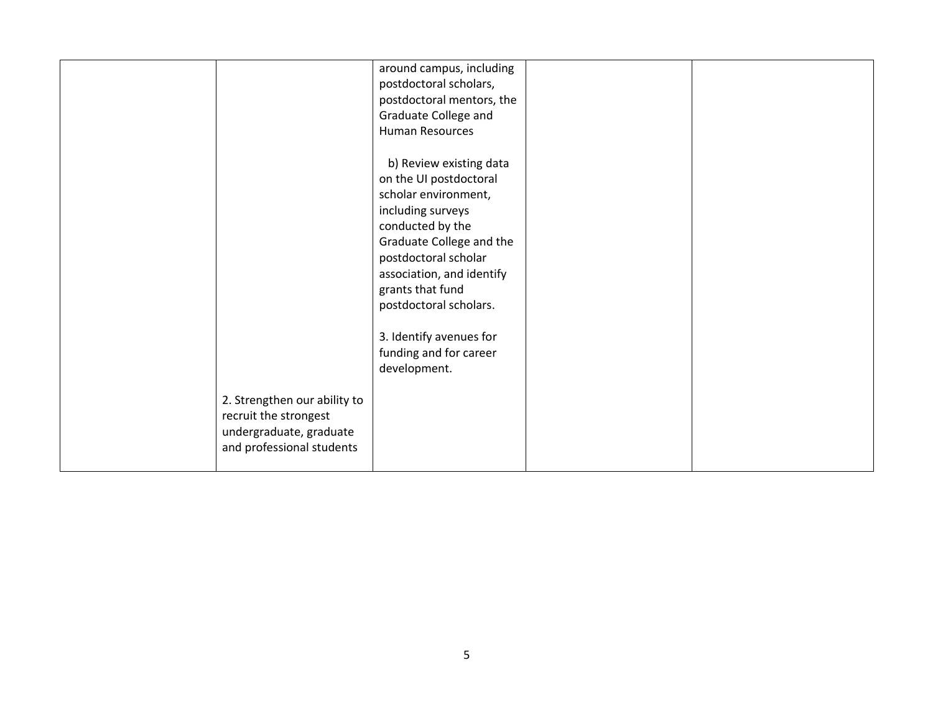|                              | around campus, including  |  |
|------------------------------|---------------------------|--|
|                              | postdoctoral scholars,    |  |
|                              | postdoctoral mentors, the |  |
|                              | Graduate College and      |  |
|                              | Human Resources           |  |
|                              |                           |  |
|                              | b) Review existing data   |  |
|                              | on the UI postdoctoral    |  |
|                              | scholar environment,      |  |
|                              | including surveys         |  |
|                              | conducted by the          |  |
|                              | Graduate College and the  |  |
|                              | postdoctoral scholar      |  |
|                              | association, and identify |  |
|                              | grants that fund          |  |
|                              | postdoctoral scholars.    |  |
|                              |                           |  |
|                              | 3. Identify avenues for   |  |
|                              | funding and for career    |  |
|                              | development.              |  |
|                              |                           |  |
| 2. Strengthen our ability to |                           |  |
| recruit the strongest        |                           |  |
| undergraduate, graduate      |                           |  |
| and professional students    |                           |  |
|                              |                           |  |
|                              |                           |  |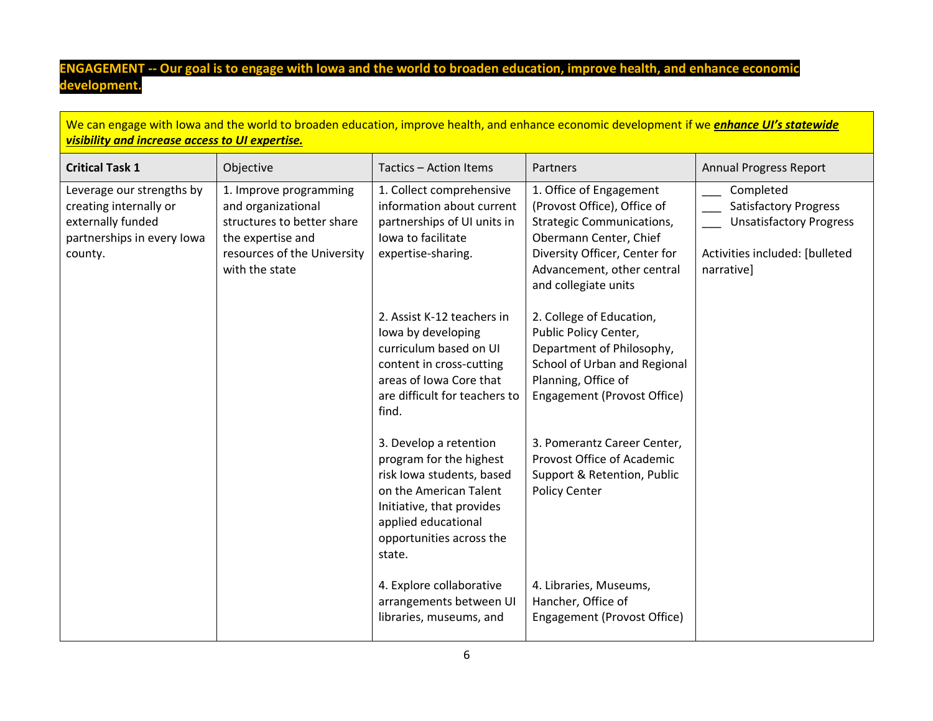# **ENGAGEMENT -- Our goal is to engage with Iowa and the world to broaden education, improve health, and enhance economic development.**

| We can engage with lowa and the world to broaden education, improve health, and enhance economic development if we <i>enhance UI's statewide</i><br>visibility and increase access to UI expertise. |                                                                                                                                                  |                                                                                                                                                                                                    |                                                                                                                                                                                                             |                                                                                                                             |
|-----------------------------------------------------------------------------------------------------------------------------------------------------------------------------------------------------|--------------------------------------------------------------------------------------------------------------------------------------------------|----------------------------------------------------------------------------------------------------------------------------------------------------------------------------------------------------|-------------------------------------------------------------------------------------------------------------------------------------------------------------------------------------------------------------|-----------------------------------------------------------------------------------------------------------------------------|
| <b>Critical Task 1</b>                                                                                                                                                                              | Objective                                                                                                                                        | Tactics - Action Items                                                                                                                                                                             | <b>Partners</b>                                                                                                                                                                                             | <b>Annual Progress Report</b>                                                                                               |
| Leverage our strengths by<br>creating internally or<br>externally funded<br>partnerships in every lowa<br>county.                                                                                   | 1. Improve programming<br>and organizational<br>structures to better share<br>the expertise and<br>resources of the University<br>with the state | 1. Collect comprehensive<br>information about current<br>partnerships of UI units in<br>lowa to facilitate<br>expertise-sharing.                                                                   | 1. Office of Engagement<br>(Provost Office), Office of<br><b>Strategic Communications,</b><br>Obermann Center, Chief<br>Diversity Officer, Center for<br>Advancement, other central<br>and collegiate units | Completed<br><b>Satisfactory Progress</b><br><b>Unsatisfactory Progress</b><br>Activities included: [bulleted<br>narrative] |
|                                                                                                                                                                                                     |                                                                                                                                                  | 2. Assist K-12 teachers in<br>lowa by developing<br>curriculum based on UI<br>content in cross-cutting<br>areas of Iowa Core that<br>are difficult for teachers to<br>find.                        | 2. College of Education,<br>Public Policy Center,<br>Department of Philosophy,<br>School of Urban and Regional<br>Planning, Office of<br>Engagement (Provost Office)                                        |                                                                                                                             |
|                                                                                                                                                                                                     |                                                                                                                                                  | 3. Develop a retention<br>program for the highest<br>risk Iowa students, based<br>on the American Talent<br>Initiative, that provides<br>applied educational<br>opportunities across the<br>state. | 3. Pomerantz Career Center,<br>Provost Office of Academic<br>Support & Retention, Public<br><b>Policy Center</b>                                                                                            |                                                                                                                             |
|                                                                                                                                                                                                     |                                                                                                                                                  | 4. Explore collaborative<br>arrangements between UI<br>libraries, museums, and                                                                                                                     | 4. Libraries, Museums,<br>Hancher, Office of<br>Engagement (Provost Office)                                                                                                                                 |                                                                                                                             |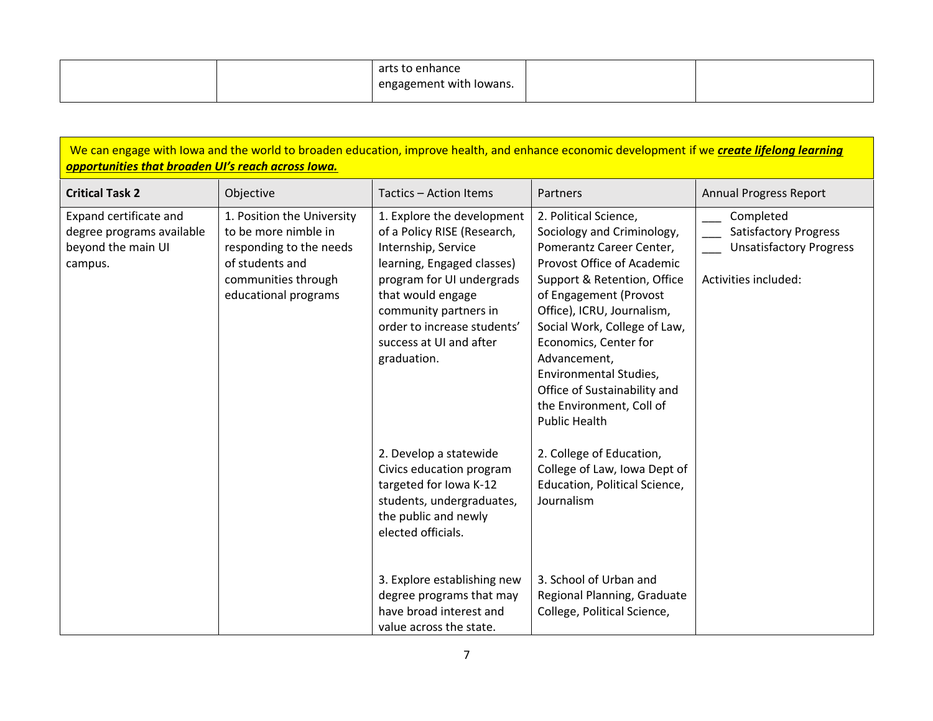|  | to enhance<br>arts      |  |
|--|-------------------------|--|
|  | engagement with lowans. |  |

| We can engage with lowa and the world to broaden education, improve health, and enhance economic development if we create lifelong learning<br>opportunities that broaden UI's reach across lowa. |                                                                                                                                                 |                                                                                                                                                                                                                                                                          |                                                                                                                                                                                                                                                                                                                                                                                             |                                                                                                     |
|---------------------------------------------------------------------------------------------------------------------------------------------------------------------------------------------------|-------------------------------------------------------------------------------------------------------------------------------------------------|--------------------------------------------------------------------------------------------------------------------------------------------------------------------------------------------------------------------------------------------------------------------------|---------------------------------------------------------------------------------------------------------------------------------------------------------------------------------------------------------------------------------------------------------------------------------------------------------------------------------------------------------------------------------------------|-----------------------------------------------------------------------------------------------------|
| <b>Critical Task 2</b>                                                                                                                                                                            | Objective                                                                                                                                       | Tactics - Action Items                                                                                                                                                                                                                                                   | Partners                                                                                                                                                                                                                                                                                                                                                                                    | <b>Annual Progress Report</b>                                                                       |
| Expand certificate and<br>degree programs available<br>beyond the main UI<br>campus.                                                                                                              | 1. Position the University<br>to be more nimble in<br>responding to the needs<br>of students and<br>communities through<br>educational programs | 1. Explore the development<br>of a Policy RISE (Research,<br>Internship, Service<br>learning, Engaged classes)<br>program for UI undergrads<br>that would engage<br>community partners in<br>order to increase students'<br>success at UI and after<br>graduation.       | 2. Political Science,<br>Sociology and Criminology,<br>Pomerantz Career Center,<br>Provost Office of Academic<br>Support & Retention, Office<br>of Engagement (Provost<br>Office), ICRU, Journalism,<br>Social Work, College of Law,<br>Economics, Center for<br>Advancement,<br>Environmental Studies,<br>Office of Sustainability and<br>the Environment, Coll of<br><b>Public Health</b> | Completed<br><b>Satisfactory Progress</b><br><b>Unsatisfactory Progress</b><br>Activities included: |
|                                                                                                                                                                                                   |                                                                                                                                                 | 2. Develop a statewide<br>Civics education program<br>targeted for Iowa K-12<br>students, undergraduates,<br>the public and newly<br>elected officials.<br>3. Explore establishing new<br>degree programs that may<br>have broad interest and<br>value across the state. | 2. College of Education,<br>College of Law, Iowa Dept of<br>Education, Political Science,<br>Journalism<br>3. School of Urban and<br>Regional Planning, Graduate<br>College, Political Science,                                                                                                                                                                                             |                                                                                                     |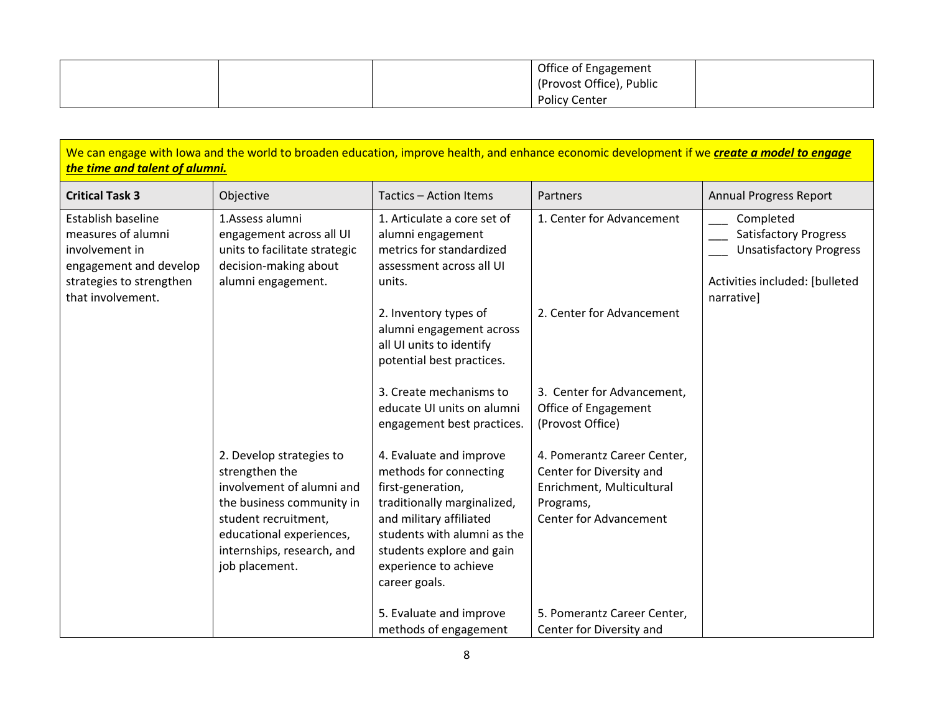|  | Office of Engagement     |  |
|--|--------------------------|--|
|  | (Provost Office), Public |  |
|  | <b>Policy Center</b>     |  |

| We can engage with lowa and the world to broaden education, improve health, and enhance economic development if we create a model to engage<br>the time and talent of alumni. |                                                                                                                                                                                                          |                                                                                                                                                                                                                                        |                                                                                                                                    |                                                                                                                             |
|-------------------------------------------------------------------------------------------------------------------------------------------------------------------------------|----------------------------------------------------------------------------------------------------------------------------------------------------------------------------------------------------------|----------------------------------------------------------------------------------------------------------------------------------------------------------------------------------------------------------------------------------------|------------------------------------------------------------------------------------------------------------------------------------|-----------------------------------------------------------------------------------------------------------------------------|
| <b>Critical Task 3</b>                                                                                                                                                        | Objective                                                                                                                                                                                                | Tactics - Action Items                                                                                                                                                                                                                 | Partners                                                                                                                           | <b>Annual Progress Report</b>                                                                                               |
| Establish baseline<br>measures of alumni<br>involvement in<br>engagement and develop<br>strategies to strengthen<br>that involvement.                                         | 1.Assess alumni<br>engagement across all UI<br>units to facilitate strategic<br>decision-making about<br>alumni engagement.                                                                              | 1. Articulate a core set of<br>alumni engagement<br>metrics for standardized<br>assessment across all UI<br>units.                                                                                                                     | 1. Center for Advancement                                                                                                          | Completed<br><b>Satisfactory Progress</b><br><b>Unsatisfactory Progress</b><br>Activities included: [bulleted<br>narrative] |
|                                                                                                                                                                               |                                                                                                                                                                                                          | 2. Inventory types of<br>alumni engagement across<br>all UI units to identify<br>potential best practices.                                                                                                                             | 2. Center for Advancement                                                                                                          |                                                                                                                             |
|                                                                                                                                                                               |                                                                                                                                                                                                          | 3. Create mechanisms to<br>educate UI units on alumni<br>engagement best practices.                                                                                                                                                    | 3. Center for Advancement,<br>Office of Engagement<br>(Provost Office)                                                             |                                                                                                                             |
|                                                                                                                                                                               | 2. Develop strategies to<br>strengthen the<br>involvement of alumni and<br>the business community in<br>student recruitment,<br>educational experiences,<br>internships, research, and<br>job placement. | 4. Evaluate and improve<br>methods for connecting<br>first-generation,<br>traditionally marginalized,<br>and military affiliated<br>students with alumni as the<br>students explore and gain<br>experience to achieve<br>career goals. | 4. Pomerantz Career Center,<br>Center for Diversity and<br>Enrichment, Multicultural<br>Programs,<br><b>Center for Advancement</b> |                                                                                                                             |
|                                                                                                                                                                               |                                                                                                                                                                                                          | 5. Evaluate and improve<br>methods of engagement                                                                                                                                                                                       | 5. Pomerantz Career Center,<br>Center for Diversity and                                                                            |                                                                                                                             |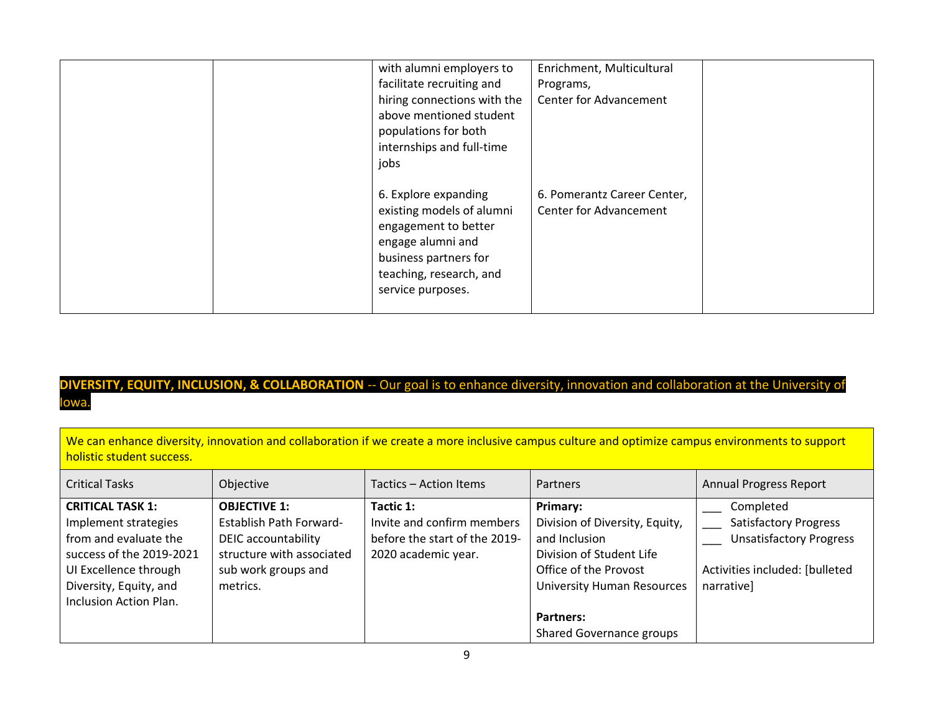|  | with alumni employers to    | Enrichment, Multicultural     |  |
|--|-----------------------------|-------------------------------|--|
|  | facilitate recruiting and   | Programs,                     |  |
|  | hiring connections with the | <b>Center for Advancement</b> |  |
|  | above mentioned student     |                               |  |
|  | populations for both        |                               |  |
|  | internships and full-time   |                               |  |
|  | jobs                        |                               |  |
|  |                             |                               |  |
|  | 6. Explore expanding        | 6. Pomerantz Career Center,   |  |
|  | existing models of alumni   | <b>Center for Advancement</b> |  |
|  | engagement to better        |                               |  |
|  | engage alumni and           |                               |  |
|  | business partners for       |                               |  |
|  | teaching, research, and     |                               |  |
|  | service purposes.           |                               |  |
|  |                             |                               |  |
|  |                             |                               |  |

## **DIVERSITY, EQUITY, INCLUSION, & COLLABORATION** -- Our goal is to enhance diversity, innovation and collaboration at the University of Iowa.

| We can enhance diversity, innovation and collaboration if we create a more inclusive campus culture and optimize campus environments to support |
|-------------------------------------------------------------------------------------------------------------------------------------------------|
| holistic student success.                                                                                                                       |

| <b>Critical Tasks</b>                                                                                                                                                             | Objective                                                                                                                             | Tactics - Action Items                                                                          | Partners                                                                                                                                                                                       | <b>Annual Progress Report</b>                                                                                               |
|-----------------------------------------------------------------------------------------------------------------------------------------------------------------------------------|---------------------------------------------------------------------------------------------------------------------------------------|-------------------------------------------------------------------------------------------------|------------------------------------------------------------------------------------------------------------------------------------------------------------------------------------------------|-----------------------------------------------------------------------------------------------------------------------------|
| <b>CRITICAL TASK 1:</b><br>Implement strategies<br>from and evaluate the<br>success of the 2019-2021<br>UI Excellence through<br>Diversity, Equity, and<br>Inclusion Action Plan. | <b>OBJECTIVE 1:</b><br>Establish Path Forward-<br>DEIC accountability<br>structure with associated<br>sub work groups and<br>metrics. | Tactic 1:<br>Invite and confirm members<br>before the start of the 2019-<br>2020 academic year. | Primary:<br>Division of Diversity, Equity,<br>and Inclusion<br>Division of Student Life<br>Office of the Provost<br><b>University Human Resources</b><br>Partners:<br>Shared Governance groups | Completed<br><b>Satisfactory Progress</b><br><b>Unsatisfactory Progress</b><br>Activities included: [bulleted<br>narrative] |